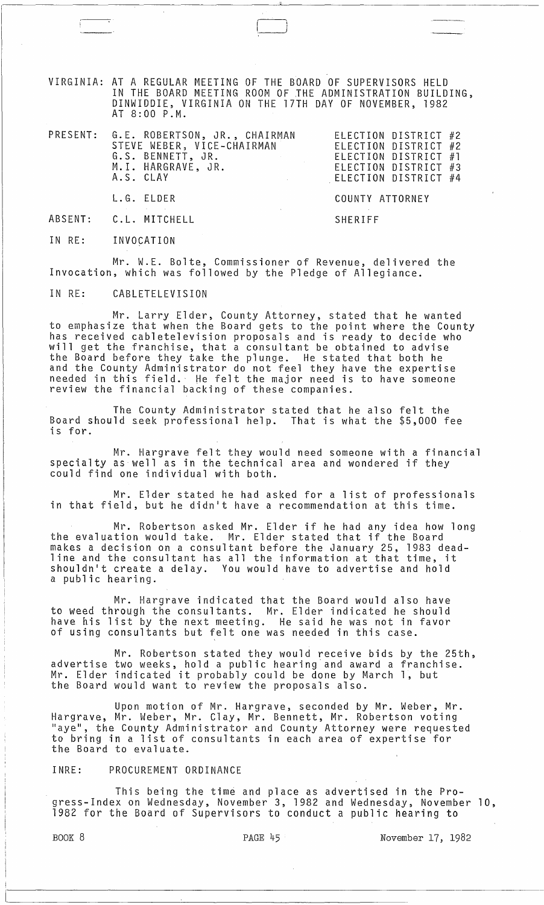VIRGINIA: AT A REGULAR MEETING OF THE BOARD OF SUPERVISORS HELD IN THE BOARD MEETING ROOM OF THE ADMINISTRATION BUILDING, DINWIDDIE, VIRGINIA ON THE 17TH DAY OF NOVEMBER, 1982 AT 8:00 P.M.

| PRESENT: G.E. ROBERTSON, JR., CHAIRMAN<br>STEVE WEBER, VICE-CHAIRMAN<br>G.S. BENNETT, JR.<br>$\mathcal{L}(\mathcal{L}^{\mathcal{L}})$ and the contribution of the contribution of $\mathcal{L}^{\mathcal{L}}$<br>M.I. HARGRAVE, JR.<br>A.S. CLAY<br>the contract of the contract of the | ELECTION DISTRICT #2<br>ELECTION DISTRICT #2<br>ELECTION DISTRICT #1<br>ELECTION DISTRICT #3<br>ELECTION DISTRICT #4 |
|-----------------------------------------------------------------------------------------------------------------------------------------------------------------------------------------------------------------------------------------------------------------------------------------|----------------------------------------------------------------------------------------------------------------------|
| L.G. ELDER                                                                                                                                                                                                                                                                              | COUNTY ATTORNEY                                                                                                      |
| ABSENT: C.L. MITCHELL                                                                                                                                                                                                                                                                   | SHERIFF                                                                                                              |

IN RE: INVOCATION

Mr. W.E. Bolte, Commissioner of Revenue, delivered the Invocation, which was followed by the Pledge of Allegiance.

IN RE: CABLETELEVISION

Mr. Larry Elder, County Attorney, stated that he wanted to emphasize that when the Board gets to the point where the County has received cabletelevision proposals and is ready to decide who will get the franchise, that a consultant be obtained to advise the Board before they take the plunge. He stated that both he and the County Administrator do not feel they have the expertise needed in this field. He felt the major need is to have someone review the financial backing of these companies.

The County Administrator stated that he also felt the Board should seek professional help. That is what the \$5,000 fee is for.

Mr. Hargrave felt they would need someone with a financial specialty as well as in the technical area and wondered if they could find one individual with both.

Mr. Elder stated he had asked for a list of professionals in that field, but he didn1t have a recommendation at this time.

Mr. Robertson asked Mr. Elder if he had any idea how long the evaluation would take. Mr. Elder stated that if the Board makes a decision on a consultant before the January 25, 1983 deadline and the consultant has all the information at that time, it shouldn't create a delay. You would have to advertise and hold a public hearing.

Mr. Hargrave indicated that the Board would also have to weed through the consultants. Mr. Elder indicated he should have his list by the next meeting. He said he was not in favor of using consultants but felt one was needed in this case.

Mr. Robertson stated they would receive bids by the 25th, advertise two weeks, hold a public hearing and award a franchise. Mr. Elder indicated it probably could be done by March 1, but the Board would want to review the proposals also.

Upon motion of Mr. Hargrave, seconded by Mr. Weber, Mr. Hargrave, Mr. Weber, Mr. Clay, Mr. Bennett, Mr. Robertson voting "aye", the County Administrator and County Attorney were requested to bring in a list of consultants in each area of expertise for the Board to evaluate.

## INRE: PROCUREMENT ORDINANCE

This being the time and place as advertised in the Progress-Index on Wednesday, November 3, 1982 and Wednesday, November 10, 1982 for the Board of Supervisors to conduct a public hearing to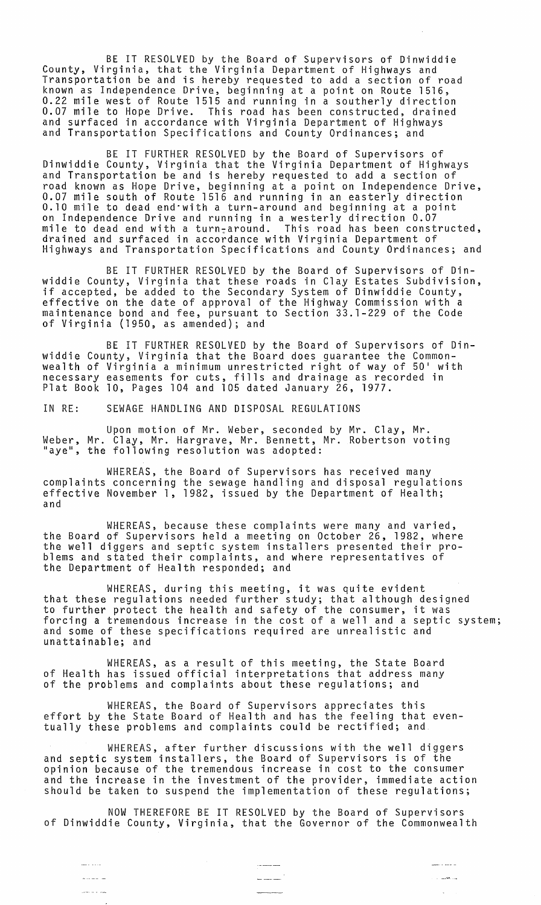BE IT RESOLVED by the Board of Supervisors of Dinwiddie County, Virginia, that the Virginia Department of Highways and Transportation be and is hereby requested to add a section of road known as Independence Drive, beginning at a point on Route 1516, 0.22 mile west of Route 1515 and running in a southerly direction 0.07 mile to Hope Drive. This road has been constructed, drained and surfaced in accordance with Virginia Department of Highways and Transportation Specifications and County Ordinances; and

BE IT FURTHER RESOLVED by the Board of Supervisors of Dinwiddie County, Virginia that the Virginia Department of Highways and Transportation be and is hereby requested to add a section of road known as Hope Drive, beginning at a point on Independence Drive, 0.07 mile south of Route 1516 and running in an easterly direction 0.10 mile to dead end·with a turn-around and beginning at a point on Independence Drive and running in a westerly direction 0.07 mile to dead end with a turn:around. This road has been constructed, drained and surfaced in accordance with Virginia Department of Highways and Transportation Specifications and County Ordinances; and

BE IT FURTHER RESOLVED by the Board of Supervisors of Dinwiddie County, Virginia that these roads in Clay Estates Subdivision, if accepted, be added to the Secondary System of Dinwiddie County, effective on the date of approval of the Highway Commission with a maintenance bond and fee, pursuant to Section 33.1-229 of the Code of Virginia (1950, as amended); and

BE IT FURTHER RESOLVED by the Board of Supervisors of Dinwiddie County, Virginia that the Board does guarantee the Commonwealth of Virginia a minimum unrestricted right of way of 50· with necessary easements for cuts, fills and drainage as recorded in Plat Book 10, Pages 104 and 105 dated January 26, 1977.

IN RE: SEWAGE HANDLING AND DISPOSAL REGULATIONS

Upon motion of Mr. Weber, seconded by Mr. Clay, Mr. Weber, Mr. Clay, Mr. Hargrave, Mr. Bennett, Mr. Robertson voting<br>"aye", the following resolution was adopted:

WHEREAS, the Board of Supervisors has received many complaints concerning the sewage handling and disposal regulations effective November 1, 1982, issued by the Department of Health; and

WHEREAS, because these complaints were many and varied, the Board of Supervisors held a meeting on October 26, 1982, where the well diggers and septic system installers presented their problems and stated their complaints, and where representatives of the Department of Health responded; and

WHEREAS, during this meeting, it was quite evident that these regulations needed further study; that although designed to further protect the health and safety of the consumer, it was forcing a tremendous increase in the cost of a well and a septic system; and some of these specifications required are unrealistic and unattainable; and

WHEREAS, as a result of this meeting, the State Board of Health has issued official interpretations that address many of the problems and complaints about these regulations; and

WHEREAS, the Board of Supervisors appreciates this effort by the State Board of Health and has the feeling that eventually these problems and complaints could be rectified; and

WHEREAS, after further discussions with the well diggers and septic system installers, the Board of Supervisors is of the opinion because of the tremendous increase in cost to the consumer and the increase in the investment of the provider, immediate action should be taken to suspend the implementation of these regulations;

NOW THEREFORE BE IT RESOLVED by the Board of Supervisors of Dinwiddie County, Virginia, that the Governor of the Commonwealth

 $\frac{1}{2} \sum_{i=1}^{n} \frac{1}{2} \sum_{j=1}^{n} \frac{1}{2} \sum_{j=1}^{n} \frac{1}{2} \sum_{j=1}^{n} \frac{1}{2} \sum_{j=1}^{n} \frac{1}{2} \sum_{j=1}^{n} \frac{1}{2} \sum_{j=1}^{n} \frac{1}{2} \sum_{j=1}^{n} \frac{1}{2} \sum_{j=1}^{n} \frac{1}{2} \sum_{j=1}^{n} \frac{1}{2} \sum_{j=1}^{n} \frac{1}{2} \sum_{j=1}^{n} \frac{1}{2} \sum_{j=1}^{n$ 

and and and a

. . . . . . .

ل<br>ساخت اب

 $\mathbb{R}^2$ 

 $\frac{1}{2} \frac{1}{2} \frac{1}{2} \frac{1}{2} \frac{1}{2} \frac{1}{2} \frac{1}{2} \frac{1}{2} \frac{1}{2} \frac{1}{2} \frac{1}{2} \frac{1}{2} \frac{1}{2} \frac{1}{2} \frac{1}{2} \frac{1}{2} \frac{1}{2} \frac{1}{2} \frac{1}{2} \frac{1}{2} \frac{1}{2} \frac{1}{2} \frac{1}{2} \frac{1}{2} \frac{1}{2} \frac{1}{2} \frac{1}{2} \frac{1}{2} \frac{1}{2} \frac{1}{2} \frac{1}{2} \frac{$ 

سا استخداما

للمداء الدامس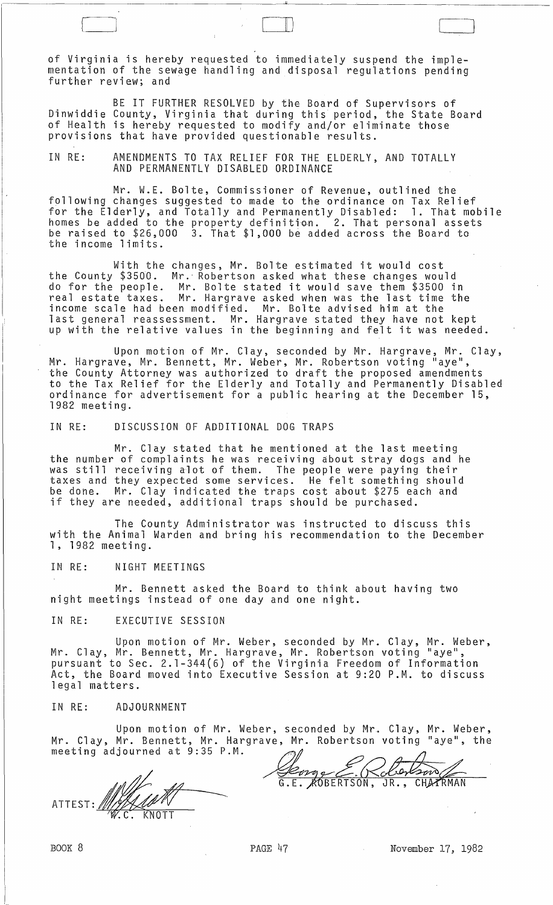of Virginia is hereby requested to immediately suspend the implementation of the sewage handling and disposal regulations pending further review; and

[--j 0)

BE IT FURTHER RESOLVED by the Board of Supervisors of Dinwiddie County, Virginia that during this period, the State Board of Health is hereby requested to modify and/or eliminate those provisions that have provided questionable results.

IN RE: AMENDMENTS TO TAX RELIEF FOR THE ELDERLY, AND TOTALLY AND PERMANENTLY DISABLED ORDINANCE

Mr. W.E. Bolte, Commissioner of Revenue, outlined the following changes suggested to made to the ordinance on Tax Relief for the Elderly, and Totally and Permanently Disabled: 1. That mobile homes be added to the property definition. 2. That personal assets be raised to \$26,000 3. That \$1,000 be added across the Board to the income limits.

With the changes, Mr. Bolte estimated it would cost the County \$3500. Mr." Robertson asked what these changes would do for the people. Mr. Bolte stated it would save them \$3500 in real estate taxes. Mr. Hargrave asked when was the last time the income scale had been modified. Mr. Bolte advised him at the last general reassessment. Mr. Hargrave stated they have not kept up with the relative values in the beginning and felt it was needed.

Upon motion of Mr. Clay, seconded by Mr. Hargrave, Mr. Clay, Mr. Hargrave, Mr. Bennett, Mr. Weber, Mr. Robertson voting "aye", the County Attorney was authorized to draft the proposed amendments to the Tax Relief for the Elderly and Totally and Permanently Disabled ordinance for advertisement for a public hearing at the December 15, 1982 meeting.

IN RE: DISCUSSION OF ADDITIONAL DOG TRAPS

Mr. Clay stated that he mentioned at the last meeting the number of complaints he was receiving about stray dogs and he was still receiving alot of them. The people were paying their taxes and they expected some services. He felt something should be done. Mr. Clay indicated the traps cost about \$275 each and if they are needed, additional traps should be purchased.

The County Administrator was instructed to discuss this with the Animal Warden and bring his recommendation to the December 1, 1982 meeting.

IN RE: NIGHT MEETINGS

Mr. Bennett asked the Board to think about having two night meetings instead of one day and one night.

## IN RE: EXECUTIVE SESSION

Upon motion of Mr. Weber, seconded by Mr. Clay, Mr. Weber, Mr. Clay, Mr. Bennett, Mr. Hargrave, Mr. Robertson voting "aye", pursuant to Sec. 2.1-344(6) of the Virginia Freedom of Information Act, the Board moved into Executive Session at 9:20 P.M. to discuss legal matters.

## IN RE: ADJOURNMENT

Upon motion of Mr. Weber, seconded by Mr. Clay, Mr. Weber, Mr. Clay, Mr. Bennett, Mr. Hargrave, Mr. Robertson voting "aye", the

Mr. Clay, Mr. Bennett, Mr. Hargrav<br>meeting adjourned at 9:35 P.M.<br>ATTEST: MY.C. KNOTT

€  $\sqrt{2}$ lson .E. AOBERTSON, JR., CHATRMAN